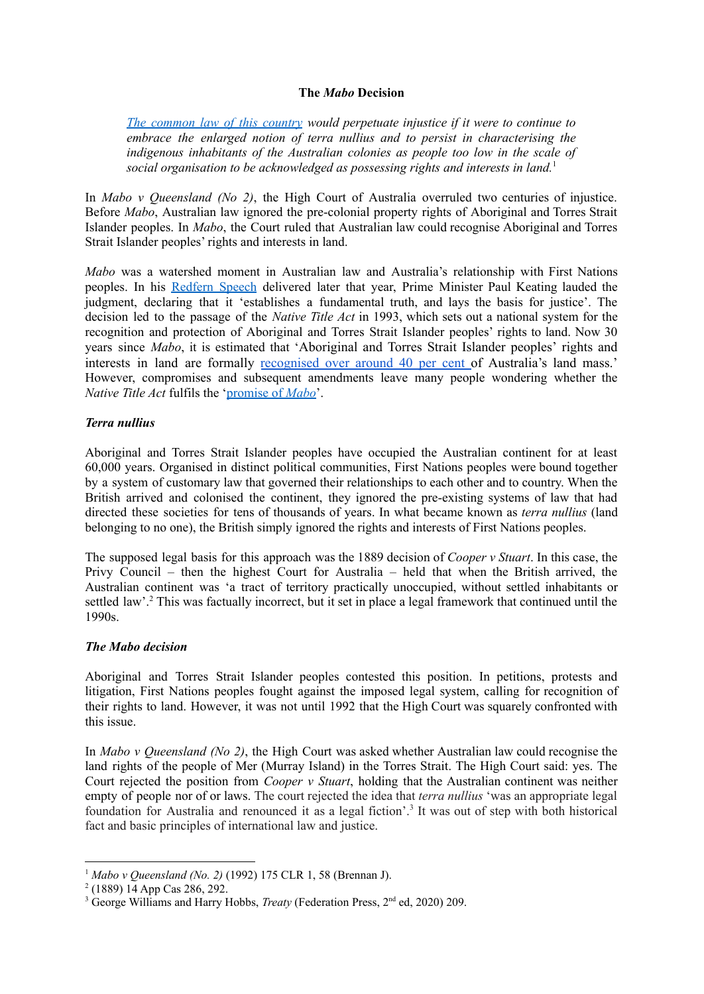## **The** *Mabo* **Decision**

*The [common](https://jade.io/article/67683) law of this country would perpetuate injustice if it were to continue to embrace the enlarged notion of terra nullius and to persist in characterising the indigenous inhabitants of the Australian colonies as people too low in the scale of social organisation to be acknowledged as possessing rights and interests in land.* 1

In *Mabo v Queensland (No 2)*, the High Court of Australia overruled two centuries of injustice. Before *Mabo*, Australian law ignored the pre-colonial property rights of Aboriginal and Torres Strait Islander peoples. In *Mabo*, the Court ruled that Australian law could recognise Aboriginal and Torres Strait Islander peoples' rights and interests in land.

*Mabo* was a watershed moment in Australian law and Australia's relationship with First Nations peoples. In his [Redfern](https://antar.org.au/sites/default/files/paul_keating_speech_transcript.pdf) Speech delivered later that year, Prime Minister Paul Keating lauded the judgment, declaring that it 'establishes a fundamental truth, and lays the basis for justice'. The decision led to the passage of the *Native Title Act* in 1993, which sets out a national system for the recognition and protection of Aboriginal and Torres Strait Islander peoples' rights to land. Now 30 years since *Mabo*, it is estimated that 'Aboriginal and Torres Strait Islander peoples' rights and interests in land are formally [recognised](https://www.niaa.gov.au/indigenous-affairs/land-and-housing#:~:text=Aboriginal%20and%20Torres%20Strait%20Islander%20peoples) over around 40 per cent of Australia's land mass.' However, compromises and subsequent amendments leave many people wondering whether the *Native Title Act* fulfils the '[promise](https://humanrights.gov.au/about/news/media-releases/promise-mabo-yet-be-realised-2012-media-release) of *Mabo*'.

## *Terra nullius*

Aboriginal and Torres Strait Islander peoples have occupied the Australian continent for at least 60,000 years. Organised in distinct political communities, First Nations peoples were bound together by a system of customary law that governed their relationships to each other and to country. When the British arrived and colonised the continent, they ignored the pre-existing systems of law that had directed these societies for tens of thousands of years. In what became known as *terra nullius* (land belonging to no one), the British simply ignored the rights and interests of First Nations peoples.

The supposed legal basis for this approach was the 1889 decision of *Cooper v Stuart*. In this case, the Privy Council – then the highest Court for Australia – held that when the British arrived, the Australian continent was 'a tract of territory practically unoccupied, without settled inhabitants or settled law'.<sup>2</sup> This was factually incorrect, but it set in place a legal framework that continued until the 1990s.

## *The Mabo decision*

Aboriginal and Torres Strait Islander peoples contested this position. In petitions, protests and litigation, First Nations peoples fought against the imposed legal system, calling for recognition of their rights to land. However, it was not until 1992 that the High Court was squarely confronted with this issue.

In *Mabo v Queensland (No 2)*, the High Court was asked whether Australian law could recognise the land rights of the people of Mer (Murray Island) in the Torres Strait. The High Court said: yes. The Court rejected the position from *Cooper v Stuart*, holding that the Australian continent was neither empty of people nor of or laws. The court rejected the idea that *terra nullius* 'was an appropriate legal foundation for Australia and renounced it as a legal fiction'. 3 It was out of step with both historical fact and basic principles of international law and justice.

<sup>1</sup> *Mabo v Queensland (No. 2)* (1992) 175 CLR 1, 58 (Brennan J).

<sup>2</sup> (1889) 14 App Cas 286, 292.

<sup>&</sup>lt;sup>3</sup> George Williams and Harry Hobbs, *Treaty* (Federation Press, 2<sup>nd</sup> ed, 2020) 209.